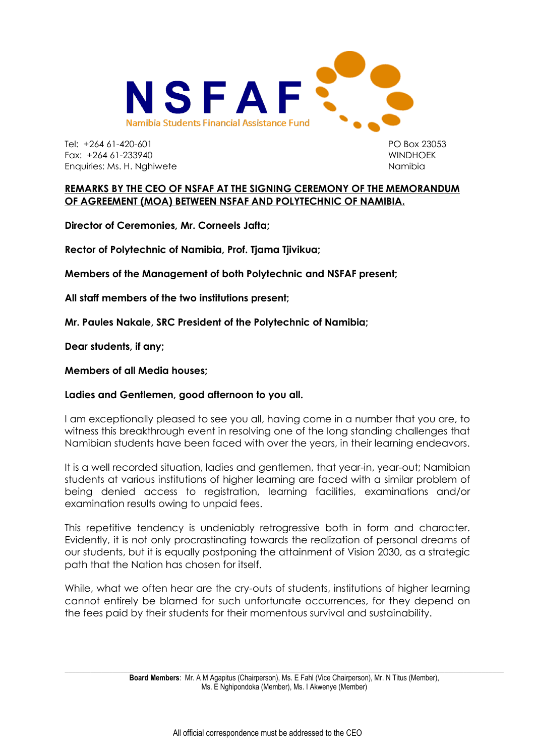

Tel: +264 61-420-601 PO Box 23053 Fax: +264 61-233940 WINDHOEK Enquiries: Ms. H. Nghiwete Namibia Namibia

## **REMARKS BY THE CEO OF NSFAF AT THE SIGNING CEREMONY OF THE MEMORANDUM OF AGREEMENT (MOA) BETWEEN NSFAF AND POLYTECHNIC OF NAMIBIA.**

**Director of Ceremonies, Mr. Corneels Jafta;** 

**Rector of Polytechnic of Namibia, Prof. Tjama Tjivikua;** 

**Members of the Management of both Polytechnic and NSFAF present;** 

**All staff members of the two institutions present;**

**Mr. Paules Nakale, SRC President of the Polytechnic of Namibia;**

**Dear students, if any;** 

**Members of all Media houses;** 

## **Ladies and Gentlemen, good afternoon to you all.**

I am exceptionally pleased to see you all, having come in a number that you are, to witness this breakthrough event in resolving one of the long standing challenges that Namibian students have been faced with over the years, in their learning endeavors.

It is a well recorded situation, ladies and gentlemen, that year-in, year-out; Namibian students at various institutions of higher learning are faced with a similar problem of being denied access to registration, learning facilities, examinations and/or examination results owing to unpaid fees.

This repetitive tendency is undeniably retrogressive both in form and character. Evidently, it is not only procrastinating towards the realization of personal dreams of our students, but it is equally postponing the attainment of Vision 2030, as a strategic path that the Nation has chosen for itself.

While, what we often hear are the cry-outs of students, institutions of higher learning cannot entirely be blamed for such unfortunate occurrences, for they depend on the fees paid by their students for their momentous survival and sustainability.